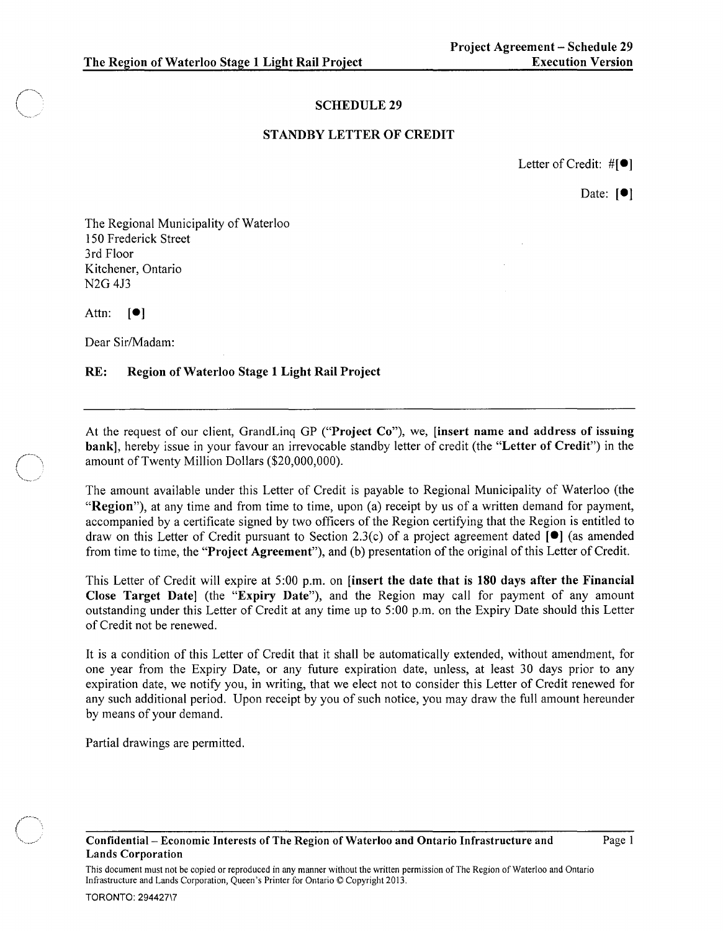## SCHEDULE 29

## STANDBY LETTER OF CREDIT

Letter of Credit:  $\#\llbracket \bullet \rrbracket$ 

Date:  $[①]$ 

The Regional Municipality of Waterloo 150 Frederick Street 3rd Floor Kitchener, Ontario N2G 413

Attn:  $\lceil \bullet \rceil$ 

Dear Sir/Madam:

## RE: Region of Waterloo Stage 1 Light Rail Project

At the request of our client, GrandLinq GP ("Project Co"), we, [insert name and address of issuing bank], hereby issue in your favour an irrevocable standby letter of credit (the "Letter of Credit") in the amount of Twenty Million Dollars (\$20,000,000).

The amount available under this Letter of Credit is payable to Regional Municipality of Waterloo (the "Region"), at any time and from time to time, upon (a) receipt by us of a written demand for payment, accompanied by a certificate signed by two officers of the Region certifying that the Region is entitled to draw on this Letter of Credit pursuant to Section 2.3(c) of a project agreement dated **[e]** (as amended from time to time, the "Project Agreement"), and (b) presentation of the original of this Letter of Credit.

This Letter of Credit will expire at 5:00 p.m. on [insert the date that is 180 days after the Financial Close Target Date] (the "Expiry Date"), and the Region may call for payment of any amount outstanding under this Letter of Credit at any time up to 5:00 p.m. on the Expiry Date should this Letter of Credit not be renewed.

It is a condition of this Letter of Credit that it shall be automatically extended, without amendment, for one year from the Expiry Date, or any future expiration date, unless, at least 30 days prior to any expiration date, we notify you, in writing, that we elect not to consider this Letter of Credit renewed for any such additional period. Upon receipt by you of such notice, you may draw the full amount hereunder by means of your demand.

Partial drawings are permitted.

Page 1

This document must not be copied or reproduced in any manner without the written permission of The Region of Waterloo and Ontario Infrastructure and Lands Corporation, Queen's Printer for Ontario © Copyright 2013.